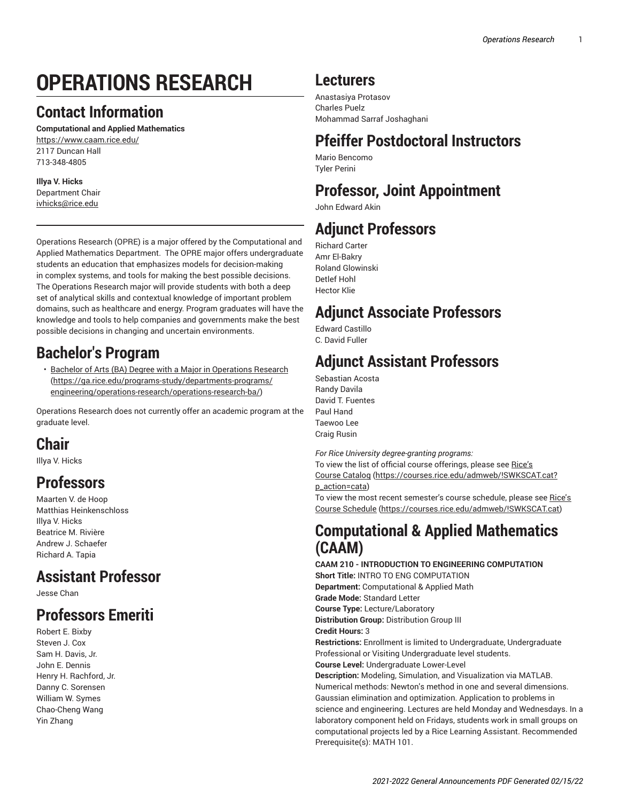# **OPERATIONS RESEARCH**

### **Contact Information**

**Computational and Applied Mathematics** <https://www.caam.rice.edu/> 2117 Duncan Hall 713-348-4805

### **Illya V. Hicks**

Department Chair [ivhicks@rice.edu](mailto:ivhicks@rice.edu)

Operations Research (OPRE) is a major offered by the Computational and Applied Mathematics Department. The OPRE major offers undergraduate students an education that emphasizes models for decision-making in complex systems, and tools for making the best possible decisions. The Operations Research major will provide students with both a deep set of analytical skills and contextual knowledge of important problem domains, such as healthcare and energy. Program graduates will have the knowledge and tools to help companies and governments make the best possible decisions in changing and uncertain environments.

## **Bachelor's Program**

• Bachelor of Arts (BA) Degree with a Major in [Operations](https://ga.rice.edu/programs-study/departments-programs/engineering/operations-research/operations-research-ba/) Research ([https://ga.rice.edu/programs-study/departments-programs/](https://ga.rice.edu/programs-study/departments-programs/engineering/operations-research/operations-research-ba/) [engineering/operations-research/operations-research-ba/\)](https://ga.rice.edu/programs-study/departments-programs/engineering/operations-research/operations-research-ba/)

Operations Research does not currently offer an academic program at the graduate level.

## **Chair**

Illya V. Hicks

## **Professors**

Maarten V. de Hoop Matthias Heinkenschloss Illya V. Hicks Beatrice M. Rivière Andrew J. Schaefer Richard A. Tapia

## **Assistant Professor**

Jesse Chan

## **Professors Emeriti**

Robert E. Bixby Steven J. Cox Sam H. Davis, Jr. John E. Dennis Henry H. Rachford, Jr. Danny C. Sorensen William W. Symes Chao-Cheng Wang Yin Zhang

## **Lecturers**

Anastasiya Protasov Charles Puelz Mohammad Sarraf Joshaghani

## **Pfeiffer Postdoctoral Instructors**

Mario Bencomo Tyler Perini

## **Professor, Joint Appointment**

John Edward Akin

## **Adjunct Professors**

Richard Carter Amr El-Bakry Roland Glowinski Detlef Hohl Hector Klie

### **Adjunct Associate Professors**

Edward Castillo C. David Fuller

## **Adjunct Assistant Professors**

Sebastian Acosta Randy Davila David T. Fuentes Paul Hand Taewoo Lee Craig Rusin

*For Rice University degree-granting programs:*

To view the list of official course offerings, please see [Rice's](https://courses.rice.edu/admweb/!SWKSCAT.cat?p_action=cata) [Course Catalog](https://courses.rice.edu/admweb/!SWKSCAT.cat?p_action=cata) [\(https://courses.rice.edu/admweb/!SWKSCAT.cat?](https://courses.rice.edu/admweb/!SWKSCAT.cat?p_action=cata) [p\\_action=cata](https://courses.rice.edu/admweb/!SWKSCAT.cat?p_action=cata))

To view the most recent semester's course schedule, please see [Rice's](https://courses.rice.edu/admweb/!SWKSCAT.cat) [Course Schedule](https://courses.rice.edu/admweb/!SWKSCAT.cat) ([https://courses.rice.edu/admweb/!SWKSCAT.cat\)](https://courses.rice.edu/admweb/!SWKSCAT.cat)

### **Computational & Applied Mathematics (CAAM)**

**CAAM 210 - INTRODUCTION TO ENGINEERING COMPUTATION Short Title:** INTRO TO ENG COMPUTATION **Department:** Computational & Applied Math **Grade Mode:** Standard Letter **Course Type:** Lecture/Laboratory **Distribution Group:** Distribution Group III **Credit Hours:** 3 **Restrictions:** Enrollment is limited to Undergraduate, Undergraduate Professional or Visiting Undergraduate level students. **Course Level:** Undergraduate Lower-Level **Description:** Modeling, Simulation, and Visualization via MATLAB. Numerical methods: Newton's method in one and several dimensions. Gaussian elimination and optimization. Application to problems in science and engineering. Lectures are held Monday and Wednesdays. In a laboratory component held on Fridays, students work in small groups on computational projects led by a Rice Learning Assistant. Recommended Prerequisite(s): MATH 101.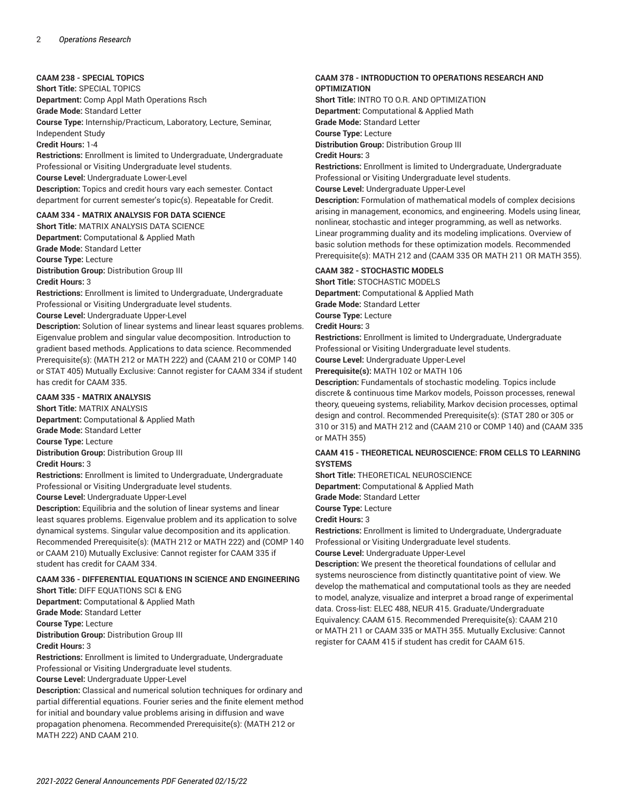#### **CAAM 238 - SPECIAL TOPICS**

**Short Title:** SPECIAL TOPICS

**Department:** Comp Appl Math Operations Rsch

**Grade Mode:** Standard Letter

**Course Type:** Internship/Practicum, Laboratory, Lecture, Seminar, Independent Study

**Credit Hours:** 1-4

**Restrictions:** Enrollment is limited to Undergraduate, Undergraduate Professional or Visiting Undergraduate level students. **Course Level:** Undergraduate Lower-Level **Description:** Topics and credit hours vary each semester. Contact department for current semester's topic(s). Repeatable for Credit.

### **CAAM 334 - MATRIX ANALYSIS FOR DATA SCIENCE**

**Short Title:** MATRIX ANALYSIS DATA SCIENCE **Department:** Computational & Applied Math **Grade Mode:** Standard Letter **Course Type:** Lecture **Distribution Group:** Distribution Group III **Credit Hours:** 3

**Restrictions:** Enrollment is limited to Undergraduate, Undergraduate Professional or Visiting Undergraduate level students.

**Course Level:** Undergraduate Upper-Level

**Description:** Solution of linear systems and linear least squares problems. Eigenvalue problem and singular value decomposition. Introduction to gradient based methods. Applications to data science. Recommended Prerequisite(s): (MATH 212 or MATH 222) and (CAAM 210 or COMP 140 or STAT 405) Mutually Exclusive: Cannot register for CAAM 334 if student has credit for CAAM 335.

#### **CAAM 335 - MATRIX ANALYSIS**

**Short Title:** MATRIX ANALYSIS

**Department:** Computational & Applied Math **Grade Mode:** Standard Letter

**Course Type:** Lecture

**Distribution Group:** Distribution Group III

**Credit Hours:** 3

**Restrictions:** Enrollment is limited to Undergraduate, Undergraduate Professional or Visiting Undergraduate level students.

**Course Level:** Undergraduate Upper-Level

**Description:** Equilibria and the solution of linear systems and linear least squares problems. Eigenvalue problem and its application to solve dynamical systems. Singular value decomposition and its application. Recommended Prerequisite(s): (MATH 212 or MATH 222) and (COMP 140 or CAAM 210) Mutually Exclusive: Cannot register for CAAM 335 if student has credit for CAAM 334.

#### **CAAM 336 - DIFFERENTIAL EQUATIONS IN SCIENCE AND ENGINEERING Short Title:** DIFF EQUATIONS SCI & ENG

**Department:** Computational & Applied Math

**Grade Mode:** Standard Letter

**Course Type:** Lecture

**Distribution Group:** Distribution Group III

#### **Credit Hours:** 3

**Restrictions:** Enrollment is limited to Undergraduate, Undergraduate Professional or Visiting Undergraduate level students.

**Course Level:** Undergraduate Upper-Level

**Description:** Classical and numerical solution techniques for ordinary and partial differential equations. Fourier series and the finite element method for initial and boundary value problems arising in diffusion and wave propagation phenomena. Recommended Prerequisite(s): (MATH 212 or MATH 222) AND CAAM 210.

#### **CAAM 378 - INTRODUCTION TO OPERATIONS RESEARCH AND OPTIMIZATION**

**Short Title:** INTRO TO O.R. AND OPTIMIZATION **Department:** Computational & Applied Math

**Grade Mode:** Standard Letter

**Course Type:** Lecture

**Distribution Group:** Distribution Group III

**Credit Hours:** 3

**Restrictions:** Enrollment is limited to Undergraduate, Undergraduate Professional or Visiting Undergraduate level students.

**Course Level:** Undergraduate Upper-Level

**Description:** Formulation of mathematical models of complex decisions arising in management, economics, and engineering. Models using linear, nonlinear, stochastic and integer programming, as well as networks. Linear programming duality and its modeling implications. Overview of basic solution methods for these optimization models. Recommended Prerequisite(s): MATH 212 and (CAAM 335 OR MATH 211 OR MATH 355).

#### **CAAM 382 - STOCHASTIC MODELS**

**Short Title:** STOCHASTIC MODELS **Department:** Computational & Applied Math **Grade Mode:** Standard Letter **Course Type:** Lecture

**Credit Hours:** 3

**Restrictions:** Enrollment is limited to Undergraduate, Undergraduate Professional or Visiting Undergraduate level students. **Course Level:** Undergraduate Upper-Level

**Prerequisite(s):** MATH 102 or MATH 106

**Description:** Fundamentals of stochastic modeling. Topics include discrete & continuous time Markov models, Poisson processes, renewal theory, queueing systems, reliability, Markov decision processes, optimal design and control. Recommended Prerequisite(s): (STAT 280 or 305 or 310 or 315) and MATH 212 and (CAAM 210 or COMP 140) and (CAAM 335 or MATH 355)

#### **CAAM 415 - THEORETICAL NEUROSCIENCE: FROM CELLS TO LEARNING SYSTEMS**

**Short Title:** THEORETICAL NEUROSCIENCE

**Department:** Computational & Applied Math

**Grade Mode:** Standard Letter

**Course Type:** Lecture

**Credit Hours:** 3

**Restrictions:** Enrollment is limited to Undergraduate, Undergraduate Professional or Visiting Undergraduate level students.

**Course Level:** Undergraduate Upper-Level

**Description:** We present the theoretical foundations of cellular and systems neuroscience from distinctly quantitative point of view. We develop the mathematical and computational tools as they are needed to model, analyze, visualize and interpret a broad range of experimental data. Cross-list: ELEC 488, NEUR 415. Graduate/Undergraduate Equivalency: CAAM 615. Recommended Prerequisite(s): CAAM 210 or MATH 211 or CAAM 335 or MATH 355. Mutually Exclusive: Cannot register for CAAM 415 if student has credit for CAAM 615.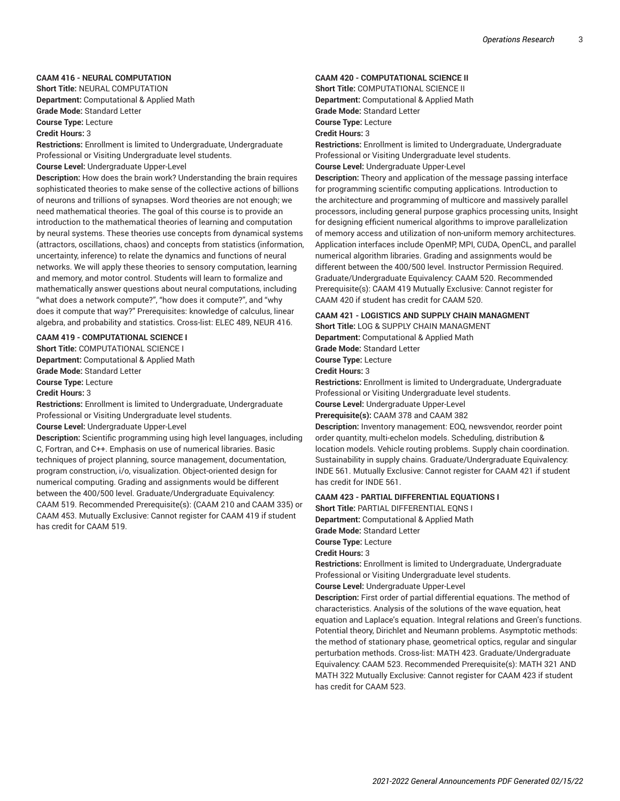#### **CAAM 416 - NEURAL COMPUTATION**

**Short Title:** NEURAL COMPUTATION **Department:** Computational & Applied Math **Grade Mode:** Standard Letter

**Course Type:** Lecture

**Credit Hours:** 3

**Restrictions:** Enrollment is limited to Undergraduate, Undergraduate Professional or Visiting Undergraduate level students.

#### **Course Level:** Undergraduate Upper-Level

**Description:** How does the brain work? Understanding the brain requires sophisticated theories to make sense of the collective actions of billions of neurons and trillions of synapses. Word theories are not enough; we need mathematical theories. The goal of this course is to provide an introduction to the mathematical theories of learning and computation by neural systems. These theories use concepts from dynamical systems (attractors, oscillations, chaos) and concepts from statistics (information, uncertainty, inference) to relate the dynamics and functions of neural networks. We will apply these theories to sensory computation, learning and memory, and motor control. Students will learn to formalize and mathematically answer questions about neural computations, including "what does a network compute?", "how does it compute?", and "why does it compute that way?" Prerequisites: knowledge of calculus, linear algebra, and probability and statistics. Cross-list: ELEC 489, NEUR 416.

#### **CAAM 419 - COMPUTATIONAL SCIENCE I**

**Short Title:** COMPUTATIONAL SCIENCE I **Department:** Computational & Applied Math **Grade Mode:** Standard Letter **Course Type:** Lecture

#### **Credit Hours:** 3

**Restrictions:** Enrollment is limited to Undergraduate, Undergraduate Professional or Visiting Undergraduate level students. **Course Level:** Undergraduate Upper-Level

**Description:** Scientific programming using high level languages, including C, Fortran, and C++. Emphasis on use of numerical libraries. Basic techniques of project planning, source management, documentation, program construction, i/o, visualization. Object-oriented design for numerical computing. Grading and assignments would be different between the 400/500 level. Graduate/Undergraduate Equivalency: CAAM 519. Recommended Prerequisite(s): (CAAM 210 and CAAM 335) or CAAM 453. Mutually Exclusive: Cannot register for CAAM 419 if student has credit for CAAM 519.

#### **CAAM 420 - COMPUTATIONAL SCIENCE II**

**Short Title:** COMPUTATIONAL SCIENCE II

**Department:** Computational & Applied Math

**Grade Mode:** Standard Letter **Course Type:** Lecture

**Credit Hours:** 3

**Restrictions:** Enrollment is limited to Undergraduate, Undergraduate Professional or Visiting Undergraduate level students.

**Course Level:** Undergraduate Upper-Level

**Description:** Theory and application of the message passing interface for programming scientific computing applications. Introduction to the architecture and programming of multicore and massively parallel processors, including general purpose graphics processing units, Insight for designing efficient numerical algorithms to improve parallelization of memory access and utilization of non-uniform memory architectures. Application interfaces include OpenMP, MPI, CUDA, OpenCL, and parallel numerical algorithm libraries. Grading and assignments would be different between the 400/500 level. Instructor Permission Required. Graduate/Undergraduate Equivalency: CAAM 520. Recommended Prerequisite(s): CAAM 419 Mutually Exclusive: Cannot register for CAAM 420 if student has credit for CAAM 520.

#### **CAAM 421 - LOGISTICS AND SUPPLY CHAIN MANAGMENT**

**Short Title:** LOG & SUPPLY CHAIN MANAGMENT

**Department:** Computational & Applied Math

**Grade Mode:** Standard Letter

**Course Type:** Lecture

**Credit Hours:** 3

**Restrictions:** Enrollment is limited to Undergraduate, Undergraduate Professional or Visiting Undergraduate level students.

**Course Level:** Undergraduate Upper-Level

**Prerequisite(s):** CAAM 378 and CAAM 382

**Description:** Inventory management: EOQ, newsvendor, reorder point order quantity, multi-echelon models. Scheduling, distribution & location models. Vehicle routing problems. Supply chain coordination. Sustainability in supply chains. Graduate/Undergraduate Equivalency: INDE 561. Mutually Exclusive: Cannot register for CAAM 421 if student has credit for INDE 561.

#### **CAAM 423 - PARTIAL DIFFERENTIAL EQUATIONS I**

**Short Title:** PARTIAL DIFFERENTIAL EQNS I

**Department:** Computational & Applied Math

**Grade Mode:** Standard Letter

#### **Course Type:** Lecture

**Credit Hours:** 3

**Restrictions:** Enrollment is limited to Undergraduate, Undergraduate Professional or Visiting Undergraduate level students.

**Course Level:** Undergraduate Upper-Level

**Description:** First order of partial differential equations. The method of characteristics. Analysis of the solutions of the wave equation, heat equation and Laplace's equation. Integral relations and Green's functions. Potential theory, Dirichlet and Neumann problems. Asymptotic methods: the method of stationary phase, geometrical optics, regular and singular perturbation methods. Cross-list: MATH 423. Graduate/Undergraduate Equivalency: CAAM 523. Recommended Prerequisite(s): MATH 321 AND MATH 322 Mutually Exclusive: Cannot register for CAAM 423 if student has credit for CAAM 523.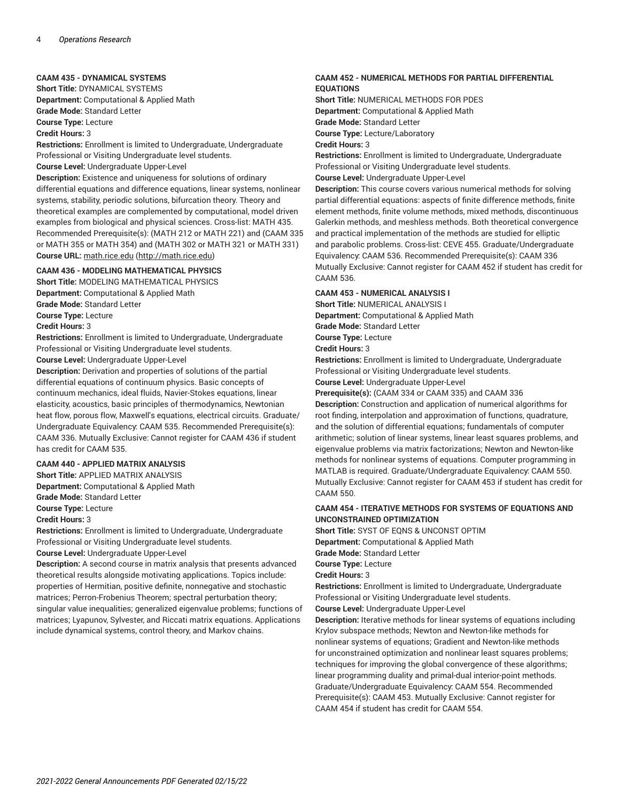#### **CAAM 435 - DYNAMICAL SYSTEMS**

**Short Title:** DYNAMICAL SYSTEMS

**Department:** Computational & Applied Math **Grade Mode:** Standard Letter

**Course Type:** Lecture

**Credit Hours:** 3

**Restrictions:** Enrollment is limited to Undergraduate, Undergraduate Professional or Visiting Undergraduate level students. **Course Level:** Undergraduate Upper-Level **Description:** Existence and uniqueness for solutions of ordinary differential equations and difference equations, linear systems, nonlinear systems, stability, periodic solutions, bifurcation theory. Theory and theoretical examples are complemented by computational, model driven examples from biological and physical sciences. Cross-list: MATH 435. Recommended Prerequisite(s): (MATH 212 or MATH 221) and (CAAM 335 or MATH 355 or MATH 354) and (MATH 302 or MATH 321 or MATH 331)

**Course URL:** [math.rice.edu](http://math.rice.edu) ([http://math.rice.edu\)](http://math.rice.edu)

#### **CAAM 436 - MODELING MATHEMATICAL PHYSICS**

**Short Title:** MODELING MATHEMATICAL PHYSICS **Department:** Computational & Applied Math **Grade Mode:** Standard Letter **Course Type:** Lecture **Credit Hours:** 3

**Restrictions:** Enrollment is limited to Undergraduate, Undergraduate Professional or Visiting Undergraduate level students. **Course Level:** Undergraduate Upper-Level

**Description:** Derivation and properties of solutions of the partial differential equations of continuum physics. Basic concepts of continuum mechanics, ideal fluids, Navier-Stokes equations, linear elasticity, acoustics, basic principles of thermodynamics, Newtonian heat flow, porous flow, Maxwell's equations, electrical circuits. Graduate/ Undergraduate Equivalency: CAAM 535. Recommended Prerequisite(s): CAAM 336. Mutually Exclusive: Cannot register for CAAM 436 if student has credit for CAAM 535.

#### **CAAM 440 - APPLIED MATRIX ANALYSIS**

**Short Title:** APPLIED MATRIX ANALYSIS

**Department:** Computational & Applied Math

**Grade Mode:** Standard Letter

**Course Type:** Lecture

**Credit Hours:** 3

**Restrictions:** Enrollment is limited to Undergraduate, Undergraduate Professional or Visiting Undergraduate level students.

**Course Level:** Undergraduate Upper-Level

**Description:** A second course in matrix analysis that presents advanced theoretical results alongside motivating applications. Topics include: properties of Hermitian, positive definite, nonnegative and stochastic matrices; Perron-Frobenius Theorem; spectral perturbation theory; singular value inequalities; generalized eigenvalue problems; functions of matrices; Lyapunov, Sylvester, and Riccati matrix equations. Applications include dynamical systems, control theory, and Markov chains.

#### **CAAM 452 - NUMERICAL METHODS FOR PARTIAL DIFFERENTIAL EQUATIONS**

**Short Title:** NUMERICAL METHODS FOR PDES **Department:** Computational & Applied Math

**Grade Mode:** Standard Letter

**Course Type:** Lecture/Laboratory

**Credit Hours:** 3

**Restrictions:** Enrollment is limited to Undergraduate, Undergraduate Professional or Visiting Undergraduate level students.

**Course Level:** Undergraduate Upper-Level

**Description:** This course covers various numerical methods for solving partial differential equations: aspects of finite difference methods, finite element methods, finite volume methods, mixed methods, discontinuous Galerkin methods, and meshless methods. Both theoretical convergence and practical implementation of the methods are studied for elliptic and parabolic problems. Cross-list: CEVE 455. Graduate/Undergraduate Equivalency: CAAM 536. Recommended Prerequisite(s): CAAM 336 Mutually Exclusive: Cannot register for CAAM 452 if student has credit for CAAM 536.

#### **CAAM 453 - NUMERICAL ANALYSIS I**

**Short Title:** NUMERICAL ANALYSIS I **Department:** Computational & Applied Math **Grade Mode:** Standard Letter

**Course Type:** Lecture

**Credit Hours:** 3

**Restrictions:** Enrollment is limited to Undergraduate, Undergraduate Professional or Visiting Undergraduate level students.

**Course Level:** Undergraduate Upper-Level

**Prerequisite(s):** (CAAM 334 or CAAM 335) and CAAM 336

**Description:** Construction and application of numerical algorithms for root finding, interpolation and approximation of functions, quadrature, and the solution of differential equations; fundamentals of computer arithmetic; solution of linear systems, linear least squares problems, and eigenvalue problems via matrix factorizations; Newton and Newton-like methods for nonlinear systems of equations. Computer programming in MATLAB is required. Graduate/Undergraduate Equivalency: CAAM 550. Mutually Exclusive: Cannot register for CAAM 453 if student has credit for CAAM 550.

#### **CAAM 454 - ITERATIVE METHODS FOR SYSTEMS OF EQUATIONS AND UNCONSTRAINED OPTIMIZATION**

**Short Title:** SYST OF EQNS & UNCONST OPTIM **Department:** Computational & Applied Math

**Grade Mode:** Standard Letter

**Course Type:** Lecture

**Credit Hours:** 3

**Restrictions:** Enrollment is limited to Undergraduate, Undergraduate Professional or Visiting Undergraduate level students. **Course Level:** Undergraduate Upper-Level

**Description:** Iterative methods for linear systems of equations including Krylov subspace methods; Newton and Newton-like methods for nonlinear systems of equations; Gradient and Newton-like methods for unconstrained optimization and nonlinear least squares problems; techniques for improving the global convergence of these algorithms; linear programming duality and primal-dual interior-point methods. Graduate/Undergraduate Equivalency: CAAM 554. Recommended Prerequisite(s): CAAM 453. Mutually Exclusive: Cannot register for CAAM 454 if student has credit for CAAM 554.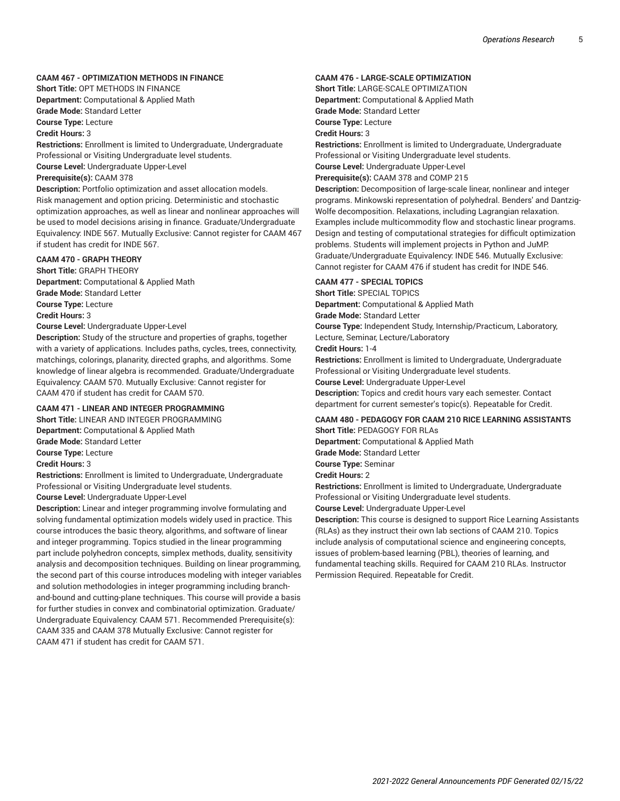#### **CAAM 467 - OPTIMIZATION METHODS IN FINANCE**

**Short Title:** OPT METHODS IN FINANCE **Department:** Computational & Applied Math **Grade Mode:** Standard Letter

**Course Type:** Lecture

**Credit Hours:** 3

**Restrictions:** Enrollment is limited to Undergraduate, Undergraduate Professional or Visiting Undergraduate level students. **Course Level:** Undergraduate Upper-Level **Prerequisite(s):** CAAM 378 **Description:** Portfolio optimization and asset allocation models.

Risk management and option pricing. Deterministic and stochastic optimization approaches, as well as linear and nonlinear approaches will be used to model decisions arising in finance. Graduate/Undergraduate Equivalency: INDE 567. Mutually Exclusive: Cannot register for CAAM 467 if student has credit for INDE 567.

#### **CAAM 470 - GRAPH THEORY**

**Short Title:** GRAPH THEORY **Department:** Computational & Applied Math **Grade Mode:** Standard Letter **Course Type:** Lecture **Credit Hours:** 3 **Course Level:** Undergraduate Upper-Level

**Description:** Study of the structure and properties of graphs, together with a variety of applications. Includes paths, cycles, trees, connectivity, matchings, colorings, planarity, directed graphs, and algorithms. Some knowledge of linear algebra is recommended. Graduate/Undergraduate Equivalency: CAAM 570. Mutually Exclusive: Cannot register for CAAM 470 if student has credit for CAAM 570.

#### **CAAM 471 - LINEAR AND INTEGER PROGRAMMING**

**Short Title:** LINEAR AND INTEGER PROGRAMMING **Department:** Computational & Applied Math **Grade Mode:** Standard Letter **Course Type:** Lecture **Credit Hours:** 3 **Restrictions:** Enrollment is limited to Undergraduate, Undergraduate

Professional or Visiting Undergraduate level students.

**Course Level:** Undergraduate Upper-Level

**Description:** Linear and integer programming involve formulating and solving fundamental optimization models widely used in practice. This course introduces the basic theory, algorithms, and software of linear and integer programming. Topics studied in the linear programming part include polyhedron concepts, simplex methods, duality, sensitivity analysis and decomposition techniques. Building on linear programming, the second part of this course introduces modeling with integer variables and solution methodologies in integer programming including branchand-bound and cutting-plane techniques. This course will provide a basis for further studies in convex and combinatorial optimization. Graduate/ Undergraduate Equivalency: CAAM 571. Recommended Prerequisite(s): CAAM 335 and CAAM 378 Mutually Exclusive: Cannot register for CAAM 471 if student has credit for CAAM 571.

#### **CAAM 476 - LARGE-SCALE OPTIMIZATION**

**Short Title:** LARGE-SCALE OPTIMIZATION

**Department:** Computational & Applied Math

**Grade Mode:** Standard Letter

**Course Type:** Lecture

**Credit Hours:** 3

**Restrictions:** Enrollment is limited to Undergraduate, Undergraduate Professional or Visiting Undergraduate level students. **Course Level:** Undergraduate Upper-Level

**Prerequisite(s):** CAAM 378 and COMP 215

**Description:** Decomposition of large-scale linear, nonlinear and integer programs. Minkowski representation of polyhedral. Benders' and Dantzig-Wolfe decomposition. Relaxations, including Lagrangian relaxation. Examples include multicommodity flow and stochastic linear programs. Design and testing of computational strategies for difficult optimization problems. Students will implement projects in Python and JuMP. Graduate/Undergraduate Equivalency: INDE 546. Mutually Exclusive: Cannot register for CAAM 476 if student has credit for INDE 546.

#### **CAAM 477 - SPECIAL TOPICS**

**Short Title:** SPECIAL TOPICS **Department:** Computational & Applied Math **Grade Mode:** Standard Letter **Course Type:** Independent Study, Internship/Practicum, Laboratory, Lecture, Seminar, Lecture/Laboratory **Credit Hours:** 1-4 **Restrictions:** Enrollment is limited to Undergraduate, Undergraduate Professional or Visiting Undergraduate level students. **Course Level:** Undergraduate Upper-Level

**Description:** Topics and credit hours vary each semester. Contact department for current semester's topic(s). Repeatable for Credit.

#### **CAAM 480 - PEDAGOGY FOR CAAM 210 RICE LEARNING ASSISTANTS Short Title:** PEDAGOGY FOR RLAs

**Department:** Computational & Applied Math **Grade Mode:** Standard Letter **Course Type:** Seminar **Credit Hours:** 2

**Restrictions:** Enrollment is limited to Undergraduate, Undergraduate Professional or Visiting Undergraduate level students.

**Course Level:** Undergraduate Upper-Level

**Description:** This course is designed to support Rice Learning Assistants (RLAs) as they instruct their own lab sections of CAAM 210. Topics include analysis of computational science and engineering concepts, issues of problem-based learning (PBL), theories of learning, and fundamental teaching skills. Required for CAAM 210 RLAs. Instructor Permission Required. Repeatable for Credit.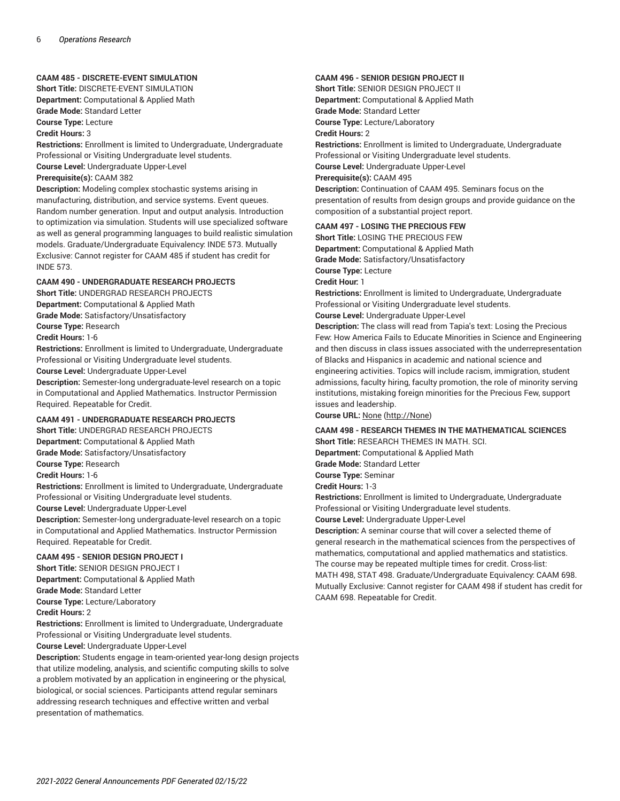#### **CAAM 485 - DISCRETE-EVENT SIMULATION**

**Short Title:** DISCRETE-EVENT SIMULATION **Department:** Computational & Applied Math **Grade Mode:** Standard Letter **Course Type:** Lecture

**Credit Hours:** 3

**Restrictions:** Enrollment is limited to Undergraduate, Undergraduate Professional or Visiting Undergraduate level students. **Course Level:** Undergraduate Upper-Level **Prerequisite(s):** CAAM 382

**Description:** Modeling complex stochastic systems arising in manufacturing, distribution, and service systems. Event queues. Random number generation. Input and output analysis. Introduction to optimization via simulation. Students will use specialized software as well as general programming languages to build realistic simulation models. Graduate/Undergraduate Equivalency: INDE 573. Mutually Exclusive: Cannot register for CAAM 485 if student has credit for INDE 573.

#### **CAAM 490 - UNDERGRADUATE RESEARCH PROJECTS**

**Short Title:** UNDERGRAD RESEARCH PROJECTS **Department:** Computational & Applied Math **Grade Mode:** Satisfactory/Unsatisfactory **Course Type:** Research **Credit Hours:** 1-6

**Restrictions:** Enrollment is limited to Undergraduate, Undergraduate

Professional or Visiting Undergraduate level students.

**Course Level:** Undergraduate Upper-Level

**Description:** Semester-long undergraduate-level research on a topic in Computational and Applied Mathematics. Instructor Permission Required. Repeatable for Credit.

#### **CAAM 491 - UNDERGRADUATE RESEARCH PROJECTS**

**Short Title:** UNDERGRAD RESEARCH PROJECTS **Department:** Computational & Applied Math **Grade Mode:** Satisfactory/Unsatisfactory **Course Type:** Research

**Credit Hours:** 1-6

**Restrictions:** Enrollment is limited to Undergraduate, Undergraduate Professional or Visiting Undergraduate level students. **Course Level:** Undergraduate Upper-Level

**Description:** Semester-long undergraduate-level research on a topic in Computational and Applied Mathematics. Instructor Permission Required. Repeatable for Credit.

#### **CAAM 495 - SENIOR DESIGN PROJECT I**

**Short Title:** SENIOR DESIGN PROJECT I **Department:** Computational & Applied Math **Grade Mode:** Standard Letter **Course Type:** Lecture/Laboratory **Credit Hours:** 2 **Restrictions:** Enrollment is limited to Undergraduate, Undergraduate Professional or Visiting Undergraduate level students.

**Course Level:** Undergraduate Upper-Level

**Description:** Students engage in team-oriented year-long design projects that utilize modeling, analysis, and scientific computing skills to solve a problem motivated by an application in engineering or the physical, biological, or social sciences. Participants attend regular seminars addressing research techniques and effective written and verbal presentation of mathematics.

#### **CAAM 496 - SENIOR DESIGN PROJECT II**

**Short Title:** SENIOR DESIGN PROJECT II **Department:** Computational & Applied Math **Grade Mode:** Standard Letter **Course Type:** Lecture/Laboratory **Credit Hours:** 2

**Restrictions:** Enrollment is limited to Undergraduate, Undergraduate Professional or Visiting Undergraduate level students. **Course Level:** Undergraduate Upper-Level **Prerequisite(s):** CAAM 495 **Description:** Continuation of CAAM 495. Seminars focus on the

presentation of results from design groups and provide guidance on the composition of a substantial project report.

#### **CAAM 497 - LOSING THE PRECIOUS FEW**

**Short Title:** LOSING THE PRECIOUS FEW **Department:** Computational & Applied Math

**Grade Mode:** Satisfactory/Unsatisfactory

**Course Type:** Lecture

**Credit Hour:** 1

**Restrictions:** Enrollment is limited to Undergraduate, Undergraduate Professional or Visiting Undergraduate level students.

**Course Level:** Undergraduate Upper-Level

**Description:** The class will read from Tapia's text: Losing the Precious Few: How America Fails to Educate Minorities in Science and Engineering and then discuss in class issues associated with the underrepresentation of Blacks and Hispanics in academic and national science and engineering activities. Topics will include racism, immigration, student admissions, faculty hiring, faculty promotion, the role of minority serving institutions, mistaking foreign minorities for the Precious Few, support issues and leadership.

**Course URL:** [None](http://None) ([http://None\)](http://None)

#### **CAAM 498 - RESEARCH THEMES IN THE MATHEMATICAL SCIENCES**

**Short Title:** RESEARCH THEMES IN MATH. SCI.

**Department:** Computational & Applied Math

**Grade Mode:** Standard Letter

**Course Type:** Seminar

**Credit Hours:** 1-3

**Restrictions:** Enrollment is limited to Undergraduate, Undergraduate Professional or Visiting Undergraduate level students.

**Course Level:** Undergraduate Upper-Level

**Description:** A seminar course that will cover a selected theme of general research in the mathematical sciences from the perspectives of mathematics, computational and applied mathematics and statistics. The course may be repeated multiple times for credit. Cross-list: MATH 498, STAT 498. Graduate/Undergraduate Equivalency: CAAM 698. Mutually Exclusive: Cannot register for CAAM 498 if student has credit for CAAM 698. Repeatable for Credit.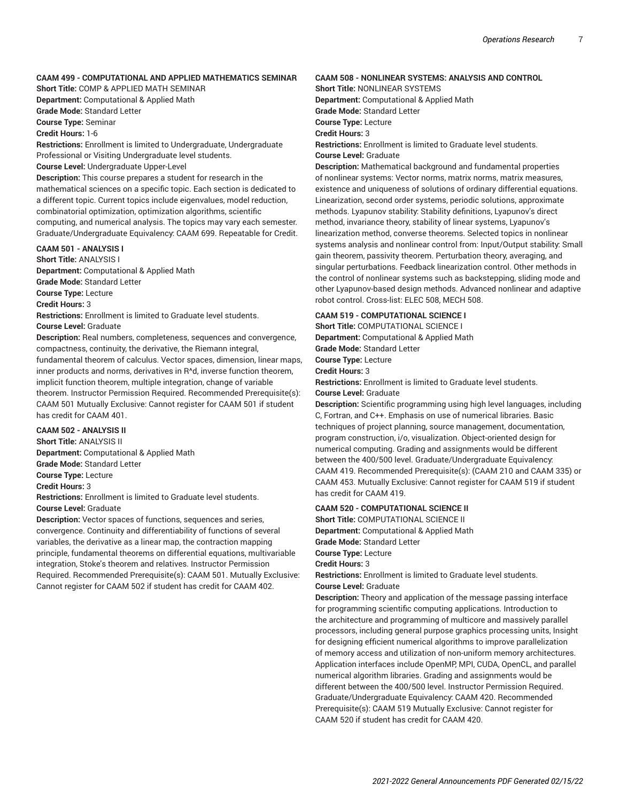#### **CAAM 499 - COMPUTATIONAL AND APPLIED MATHEMATICS SEMINAR**

**Short Title:** COMP & APPLIED MATH SEMINAR

**Department:** Computational & Applied Math **Grade Mode:** Standard Letter

**Course Type:** Seminar

**Credit Hours:** 1-6

**Restrictions:** Enrollment is limited to Undergraduate, Undergraduate Professional or Visiting Undergraduate level students.

**Course Level:** Undergraduate Upper-Level

**Description:** This course prepares a student for research in the mathematical sciences on a specific topic. Each section is dedicated to a different topic. Current topics include eigenvalues, model reduction, combinatorial optimization, optimization algorithms, scientific computing, and numerical analysis. The topics may vary each semester. Graduate/Undergraduate Equivalency: CAAM 699. Repeatable for Credit.

#### **CAAM 501 - ANALYSIS I**

**Short Title:** ANALYSIS I **Department:** Computational & Applied Math **Grade Mode:** Standard Letter

**Course Type:** Lecture

**Credit Hours:** 3

**Restrictions:** Enrollment is limited to Graduate level students. **Course Level:** Graduate

**Description:** Real numbers, completeness, sequences and convergence, compactness, continuity, the derivative, the Riemann integral, fundamental theorem of calculus. Vector spaces, dimension, linear maps, inner products and norms, derivatives in R^d, inverse function theorem, implicit function theorem, multiple integration, change of variable theorem. Instructor Permission Required. Recommended Prerequisite(s): CAAM 501 Mutually Exclusive: Cannot register for CAAM 501 if student has credit for CAAM 401.

#### **CAAM 502 - ANALYSIS II**

**Short Title:** ANALYSIS II **Department:** Computational & Applied Math **Grade Mode:** Standard Letter **Course Type:** Lecture **Credit Hours:** 3 **Restrictions:** Enrollment is limited to Graduate level students. **Course Level:** Graduate **Description:** Vector spaces of functions, sequences and series,

convergence. Continuity and differentiability of functions of several variables, the derivative as a linear map, the contraction mapping principle, fundamental theorems on differential equations, multivariable integration, Stoke's theorem and relatives. Instructor Permission Required. Recommended Prerequisite(s): CAAM 501. Mutually Exclusive: Cannot register for CAAM 502 if student has credit for CAAM 402.

#### **CAAM 508 - NONLINEAR SYSTEMS: ANALYSIS AND CONTROL**

**Short Title:** NONLINEAR SYSTEMS

**Department:** Computational & Applied Math

**Grade Mode:** Standard Letter

**Course Type:** Lecture **Credit Hours:** 3

**Restrictions:** Enrollment is limited to Graduate level students. **Course Level:** Graduate

**Description:** Mathematical background and fundamental properties of nonlinear systems: Vector norms, matrix norms, matrix measures, existence and uniqueness of solutions of ordinary differential equations. Linearization, second order systems, periodic solutions, approximate methods. Lyapunov stability: Stability definitions, Lyapunov's direct method, invariance theory, stability of linear systems, Lyapunov's linearization method, converse theorems. Selected topics in nonlinear systems analysis and nonlinear control from: Input/Output stability: Small gain theorem, passivity theorem. Perturbation theory, averaging, and singular perturbations. Feedback linearization control. Other methods in the control of nonlinear systems such as backstepping, sliding mode and other Lyapunov-based design methods. Advanced nonlinear and adaptive robot control. Cross-list: ELEC 508, MECH 508.

#### **CAAM 519 - COMPUTATIONAL SCIENCE I**

**Short Title:** COMPUTATIONAL SCIENCE I **Department:** Computational & Applied Math **Grade Mode:** Standard Letter **Course Type:** Lecture **Credit Hours:** 3

**Restrictions:** Enrollment is limited to Graduate level students. **Course Level:** Graduate

**Description:** Scientific programming using high level languages, including C, Fortran, and C++. Emphasis on use of numerical libraries. Basic techniques of project planning, source management, documentation, program construction, i/o, visualization. Object-oriented design for numerical computing. Grading and assignments would be different between the 400/500 level. Graduate/Undergraduate Equivalency: CAAM 419. Recommended Prerequisite(s): (CAAM 210 and CAAM 335) or CAAM 453. Mutually Exclusive: Cannot register for CAAM 519 if student has credit for CAAM 419.

#### **CAAM 520 - COMPUTATIONAL SCIENCE II**

**Short Title:** COMPUTATIONAL SCIENCE II **Department:** Computational & Applied Math **Grade Mode:** Standard Letter **Course Type:** Lecture **Credit Hours:** 3

**Restrictions:** Enrollment is limited to Graduate level students.

**Course Level:** Graduate

**Description:** Theory and application of the message passing interface for programming scientific computing applications. Introduction to the architecture and programming of multicore and massively parallel processors, including general purpose graphics processing units, Insight for designing efficient numerical algorithms to improve parallelization of memory access and utilization of non-uniform memory architectures. Application interfaces include OpenMP, MPI, CUDA, OpenCL, and parallel numerical algorithm libraries. Grading and assignments would be different between the 400/500 level. Instructor Permission Required. Graduate/Undergraduate Equivalency: CAAM 420. Recommended Prerequisite(s): CAAM 519 Mutually Exclusive: Cannot register for CAAM 520 if student has credit for CAAM 420.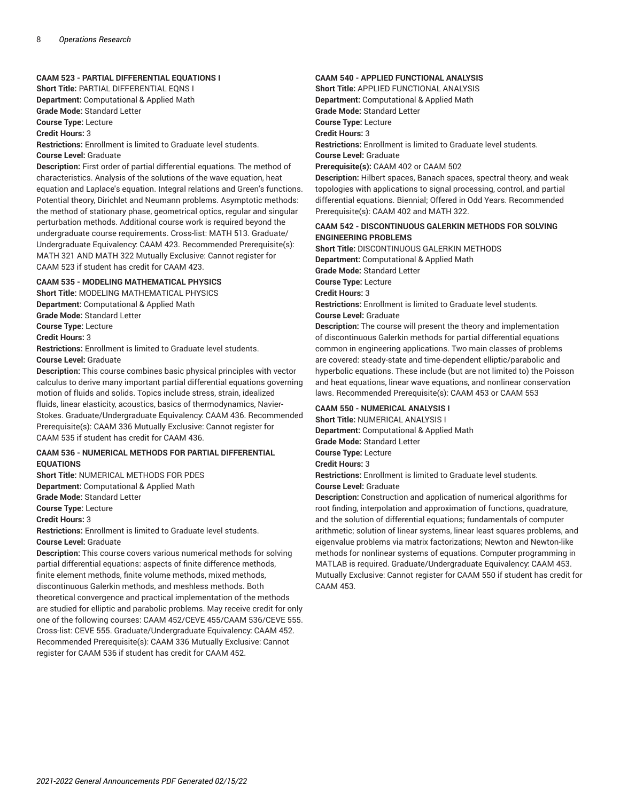#### **CAAM 523 - PARTIAL DIFFERENTIAL EQUATIONS I**

**Short Title:** PARTIAL DIFFERENTIAL EQNS I **Department:** Computational & Applied Math **Grade Mode:** Standard Letter

**Course Type:** Lecture

**Credit Hours:** 3

**Restrictions:** Enrollment is limited to Graduate level students. **Course Level:** Graduate

**Description:** First order of partial differential equations. The method of characteristics. Analysis of the solutions of the wave equation, heat equation and Laplace's equation. Integral relations and Green's functions. Potential theory, Dirichlet and Neumann problems. Asymptotic methods: the method of stationary phase, geometrical optics, regular and singular perturbation methods. Additional course work is required beyond the undergraduate course requirements. Cross-list: MATH 513. Graduate/ Undergraduate Equivalency: CAAM 423. Recommended Prerequisite(s): MATH 321 AND MATH 322 Mutually Exclusive: Cannot register for CAAM 523 if student has credit for CAAM 423.

#### **CAAM 535 - MODELING MATHEMATICAL PHYSICS**

**Short Title:** MODELING MATHEMATICAL PHYSICS

**Department:** Computational & Applied Math

**Grade Mode:** Standard Letter

**Course Type:** Lecture

**Credit Hours:** 3

**Restrictions:** Enrollment is limited to Graduate level students. **Course Level:** Graduate

**Description:** This course combines basic physical principles with vector calculus to derive many important partial differential equations governing motion of fluids and solids. Topics include stress, strain, idealized fluids, linear elasticity, acoustics, basics of thermodynamics, Navier-Stokes. Graduate/Undergraduate Equivalency: CAAM 436. Recommended Prerequisite(s): CAAM 336 Mutually Exclusive: Cannot register for CAAM 535 if student has credit for CAAM 436.

#### **CAAM 536 - NUMERICAL METHODS FOR PARTIAL DIFFERENTIAL EQUATIONS**

**Short Title:** NUMERICAL METHODS FOR PDES

**Department:** Computational & Applied Math

**Grade Mode:** Standard Letter

**Course Type:** Lecture

**Credit Hours:** 3

**Restrictions:** Enrollment is limited to Graduate level students. **Course Level:** Graduate

**Description:** This course covers various numerical methods for solving partial differential equations: aspects of finite difference methods, finite element methods, finite volume methods, mixed methods, discontinuous Galerkin methods, and meshless methods. Both theoretical convergence and practical implementation of the methods are studied for elliptic and parabolic problems. May receive credit for only one of the following courses: CAAM 452/CEVE 455/CAAM 536/CEVE 555. Cross-list: CEVE 555. Graduate/Undergraduate Equivalency: CAAM 452. Recommended Prerequisite(s): CAAM 336 Mutually Exclusive: Cannot register for CAAM 536 if student has credit for CAAM 452.

#### **CAAM 540 - APPLIED FUNCTIONAL ANALYSIS**

**Short Title:** APPLIED FUNCTIONAL ANALYSIS **Department:** Computational & Applied Math **Grade Mode:** Standard Letter **Course Type:** Lecture

**Credit Hours:** 3

**Restrictions:** Enrollment is limited to Graduate level students.

**Course Level:** Graduate

**Prerequisite(s):** CAAM 402 or CAAM 502

**Description:** Hilbert spaces, Banach spaces, spectral theory, and weak topologies with applications to signal processing, control, and partial differential equations. Biennial; Offered in Odd Years. Recommended Prerequisite(s): CAAM 402 and MATH 322.

#### **CAAM 542 - DISCONTINUOUS GALERKIN METHODS FOR SOLVING ENGINEERING PROBLEMS**

**Short Title:** DISCONTINUOUS GALERKIN METHODS **Department:** Computational & Applied Math **Grade Mode:** Standard Letter **Course Type:** Lecture **Credit Hours:** 3 **Restrictions:** Enrollment is limited to Graduate level students. **Course Level:** Graduate

**Description:** The course will present the theory and implementation of discontinuous Galerkin methods for partial differential equations common in engineering applications. Two main classes of problems are covered: steady-state and time-dependent elliptic/parabolic and hyperbolic equations. These include (but are not limited to) the Poisson and heat equations, linear wave equations, and nonlinear conservation laws. Recommended Prerequisite(s): CAAM 453 or CAAM 553

#### **CAAM 550 - NUMERICAL ANALYSIS I**

**Short Title:** NUMERICAL ANALYSIS I **Department:** Computational & Applied Math **Grade Mode:** Standard Letter **Course Type:** Lecture **Credit Hours:** 3 **Restrictions:** Enrollment is limited to Graduate level students. **Course Level:** Graduate

**Description:** Construction and application of numerical algorithms for root finding, interpolation and approximation of functions, quadrature, and the solution of differential equations; fundamentals of computer arithmetic; solution of linear systems, linear least squares problems, and eigenvalue problems via matrix factorizations; Newton and Newton-like methods for nonlinear systems of equations. Computer programming in MATLAB is required. Graduate/Undergraduate Equivalency: CAAM 453. Mutually Exclusive: Cannot register for CAAM 550 if student has credit for CAAM 453.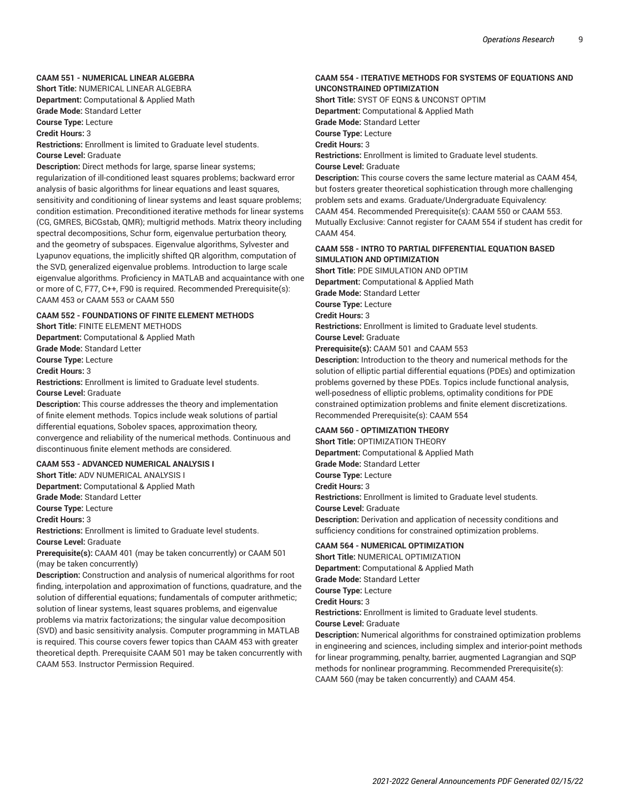#### **CAAM 551 - NUMERICAL LINEAR ALGEBRA**

**Short Title:** NUMERICAL LINEAR ALGEBRA **Department:** Computational & Applied Math

**Grade Mode:** Standard Letter

**Course Type:** Lecture

**Credit Hours:** 3

**Restrictions:** Enrollment is limited to Graduate level students. **Course Level:** Graduate

**Description:** Direct methods for large, sparse linear systems; regularization of ill-conditioned least squares problems; backward error analysis of basic algorithms for linear equations and least squares, sensitivity and conditioning of linear systems and least square problems; condition estimation. Preconditioned iterative methods for linear systems (CG, GMRES, BiCGstab, QMR); multigrid methods. Matrix theory including spectral decompositions, Schur form, eigenvalue perturbation theory, and the geometry of subspaces. Eigenvalue algorithms, Sylvester and Lyapunov equations, the implicitly shifted QR algorithm, computation of the SVD, generalized eigenvalue problems. Introduction to large scale eigenvalue algorithms. Proficiency in MATLAB and acquaintance with one or more of C, F77, C++, F90 is required. Recommended Prerequisite(s): CAAM 453 or CAAM 553 or CAAM 550

### **CAAM 552 - FOUNDATIONS OF FINITE ELEMENT METHODS**

**Short Title:** FINITE ELEMENT METHODS

**Department:** Computational & Applied Math **Grade Mode:** Standard Letter **Course Type:** Lecture **Credit Hours:** 3

**Restrictions:** Enrollment is limited to Graduate level students. **Course Level:** Graduate

**Description:** This course addresses the theory and implementation of finite element methods. Topics include weak solutions of partial differential equations, Sobolev spaces, approximation theory, convergence and reliability of the numerical methods. Continuous and discontinuous finite element methods are considered.

#### **CAAM 553 - ADVANCED NUMERICAL ANALYSIS I**

**Short Title:** ADV NUMERICAL ANALYSIS I **Department:** Computational & Applied Math **Grade Mode:** Standard Letter **Course Type:** Lecture **Credit Hours:** 3 **Restrictions:** Enrollment is limited to Graduate level students.

**Course Level:** Graduate

**Prerequisite(s):** CAAM 401 (may be taken concurrently) or CAAM 501 (may be taken concurrently)

**Description:** Construction and analysis of numerical algorithms for root finding, interpolation and approximation of functions, quadrature, and the solution of differential equations; fundamentals of computer arithmetic; solution of linear systems, least squares problems, and eigenvalue problems via matrix factorizations; the singular value decomposition (SVD) and basic sensitivity analysis. Computer programming in MATLAB is required. This course covers fewer topics than CAAM 453 with greater theoretical depth. Prerequisite CAAM 501 may be taken concurrently with CAAM 553. Instructor Permission Required.

#### **CAAM 554 - ITERATIVE METHODS FOR SYSTEMS OF EQUATIONS AND UNCONSTRAINED OPTIMIZATION**

**Short Title:** SYST OF EQNS & UNCONST OPTIM

**Department:** Computational & Applied Math

**Grade Mode:** Standard Letter

**Course Type:** Lecture

**Credit Hours:** 3

**Restrictions:** Enrollment is limited to Graduate level students. **Course Level:** Graduate

**Description:** This course covers the same lecture material as CAAM 454, but fosters greater theoretical sophistication through more challenging problem sets and exams. Graduate/Undergraduate Equivalency: CAAM 454. Recommended Prerequisite(s): CAAM 550 or CAAM 553. Mutually Exclusive: Cannot register for CAAM 554 if student has credit for CAAM 454.

#### **CAAM 558 - INTRO TO PARTIAL DIFFERENTIAL EQUATION BASED SIMULATION AND OPTIMIZATION**

**Short Title:** PDE SIMULATION AND OPTIM

**Department:** Computational & Applied Math

**Grade Mode:** Standard Letter

**Course Type:** Lecture

**Credit Hours:** 3

**Restrictions:** Enrollment is limited to Graduate level students.

**Course Level:** Graduate

**Prerequisite(s):** CAAM 501 and CAAM 553

**Description:** Introduction to the theory and numerical methods for the solution of elliptic partial differential equations (PDEs) and optimization problems governed by these PDEs. Topics include functional analysis, well-posedness of elliptic problems, optimality conditions for PDE constrained optimization problems and finite element discretizations. Recommended Prerequisite(s): CAAM 554

#### **CAAM 560 - OPTIMIZATION THEORY**

**Short Title:** OPTIMIZATION THEORY **Department:** Computational & Applied Math **Grade Mode:** Standard Letter **Course Type:** Lecture **Credit Hours:** 3 **Restrictions:** Enrollment is limited to Graduate level students. **Course Level:** Graduate **Description:** Derivation and application of necessity conditions and sufficiency conditions for constrained optimization problems.

#### **CAAM 564 - NUMERICAL OPTIMIZATION**

**Short Title:** NUMERICAL OPTIMIZATION **Department:** Computational & Applied Math **Grade Mode:** Standard Letter **Course Type:** Lecture **Credit Hours:** 3 **Restrictions:** Enrollment is limited to Graduate level students. **Course Level:** Graduate

**Description:** Numerical algorithms for constrained optimization problems in engineering and sciences, including simplex and interior-point methods for linear programming, penalty, barrier, augmented Lagrangian and SQP methods for nonlinear programming. Recommended Prerequisite(s): CAAM 560 (may be taken concurrently) and CAAM 454.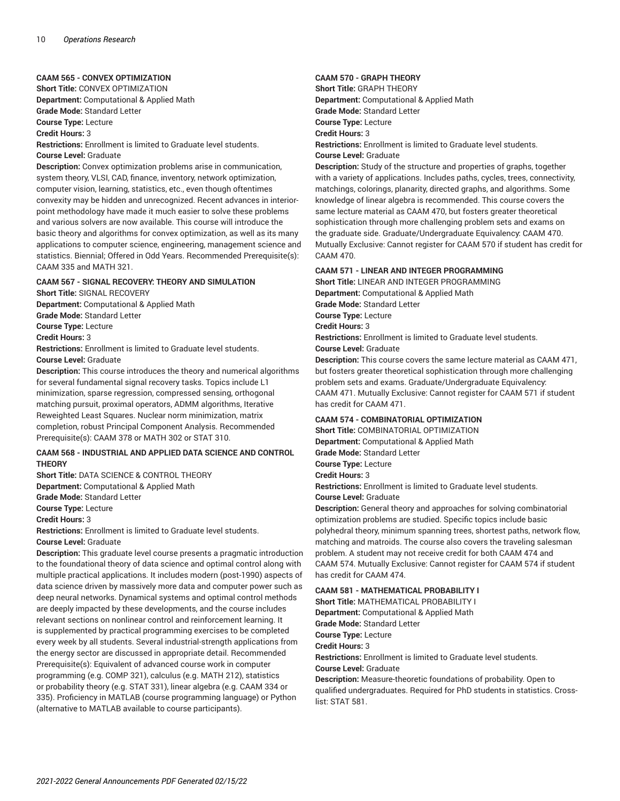#### **CAAM 565 - CONVEX OPTIMIZATION**

**Short Title:** CONVEX OPTIMIZATION **Department:** Computational & Applied Math **Grade Mode:** Standard Letter

**Course Type:** Lecture

**Credit Hours:** 3

**Restrictions:** Enrollment is limited to Graduate level students. **Course Level:** Graduate

**Description:** Convex optimization problems arise in communication, system theory, VLSI, CAD, finance, inventory, network optimization, computer vision, learning, statistics, etc., even though oftentimes convexity may be hidden and unrecognized. Recent advances in interiorpoint methodology have made it much easier to solve these problems and various solvers are now available. This course will introduce the basic theory and algorithms for convex optimization, as well as its many applications to computer science, engineering, management science and statistics. Biennial; Offered in Odd Years. Recommended Prerequisite(s): CAAM 335 and MATH 321.

#### **CAAM 567 - SIGNAL RECOVERY: THEORY AND SIMULATION**

**Short Title:** SIGNAL RECOVERY **Department:** Computational & Applied Math **Grade Mode:** Standard Letter **Course Type:** Lecture **Credit Hours:** 3

**Restrictions:** Enrollment is limited to Graduate level students. **Course Level:** Graduate

**Description:** This course introduces the theory and numerical algorithms for several fundamental signal recovery tasks. Topics include L1 minimization, sparse regression, compressed sensing, orthogonal matching pursuit, proximal operators, ADMM algorithms, Iterative Reweighted Least Squares. Nuclear norm minimization, matrix completion, robust Principal Component Analysis. Recommended Prerequisite(s): CAAM 378 or MATH 302 or STAT 310.

#### **CAAM 568 - INDUSTRIAL AND APPLIED DATA SCIENCE AND CONTROL THEORY**

**Short Title:** DATA SCIENCE & CONTROL THEORY **Department:** Computational & Applied Math

**Grade Mode:** Standard Letter

**Course Type:** Lecture **Credit Hours:** 3

**Restrictions:** Enrollment is limited to Graduate level students. **Course Level:** Graduate

**Description:** This graduate level course presents a pragmatic introduction to the foundational theory of data science and optimal control along with multiple practical applications. It includes modern (post-1990) aspects of data science driven by massively more data and computer power such as deep neural networks. Dynamical systems and optimal control methods are deeply impacted by these developments, and the course includes relevant sections on nonlinear control and reinforcement learning. It is supplemented by practical programming exercises to be completed every week by all students. Several industrial-strength applications from the energy sector are discussed in appropriate detail. Recommended Prerequisite(s): Equivalent of advanced course work in computer programming (e.g. COMP 321), calculus (e.g. MATH 212), statistics or probability theory (e.g. STAT 331), linear algebra (e.g. CAAM 334 or 335). Proficiency in MATLAB (course programming language) or Python (alternative to MATLAB available to course participants).

#### **CAAM 570 - GRAPH THEORY**

**Short Title:** GRAPH THEORY **Department:** Computational & Applied Math **Grade Mode:** Standard Letter **Course Type:** Lecture **Credit Hours:** 3 **Restrictions:** Enrollment is limited to Graduate level students. **Course Level:** Graduate

**Description:** Study of the structure and properties of graphs, together with a variety of applications. Includes paths, cycles, trees, connectivity, matchings, colorings, planarity, directed graphs, and algorithms. Some knowledge of linear algebra is recommended. This course covers the same lecture material as CAAM 470, but fosters greater theoretical sophistication through more challenging problem sets and exams on the graduate side. Graduate/Undergraduate Equivalency: CAAM 470. Mutually Exclusive: Cannot register for CAAM 570 if student has credit for CAAM 470.

#### **CAAM 571 - LINEAR AND INTEGER PROGRAMMING**

**Short Title:** LINEAR AND INTEGER PROGRAMMING **Department:** Computational & Applied Math **Grade Mode:** Standard Letter **Course Type:** Lecture **Credit Hours:** 3 **Restrictions:** Enrollment is limited to Graduate level students. **Course Level:** Graduate

**Description:** This course covers the same lecture material as CAAM 471, but fosters greater theoretical sophistication through more challenging problem sets and exams. Graduate/Undergraduate Equivalency: CAAM 471. Mutually Exclusive: Cannot register for CAAM 571 if student has credit for CAAM 471.

#### **CAAM 574 - COMBINATORIAL OPTIMIZATION**

**Short Title:** COMBINATORIAL OPTIMIZATION **Department:** Computational & Applied Math **Grade Mode:** Standard Letter **Course Type:** Lecture **Credit Hours:** 3

**Restrictions:** Enrollment is limited to Graduate level students.

**Course Level:** Graduate

**Description:** General theory and approaches for solving combinatorial optimization problems are studied. Specific topics include basic polyhedral theory, minimum spanning trees, shortest paths, network flow, matching and matroids. The course also covers the traveling salesman problem. A student may not receive credit for both CAAM 474 and CAAM 574. Mutually Exclusive: Cannot register for CAAM 574 if student has credit for CAAM 474.

#### **CAAM 581 - MATHEMATICAL PROBABILITY I**

**Short Title:** MATHEMATICAL PROBABILITY I **Department:** Computational & Applied Math **Grade Mode:** Standard Letter **Course Type:** Lecture **Credit Hours:** 3 **Restrictions:** Enrollment is limited to Graduate level students. **Course Level:** Graduate

**Description:** Measure-theoretic foundations of probability. Open to qualified undergraduates. Required for PhD students in statistics. Crosslist: STAT 581.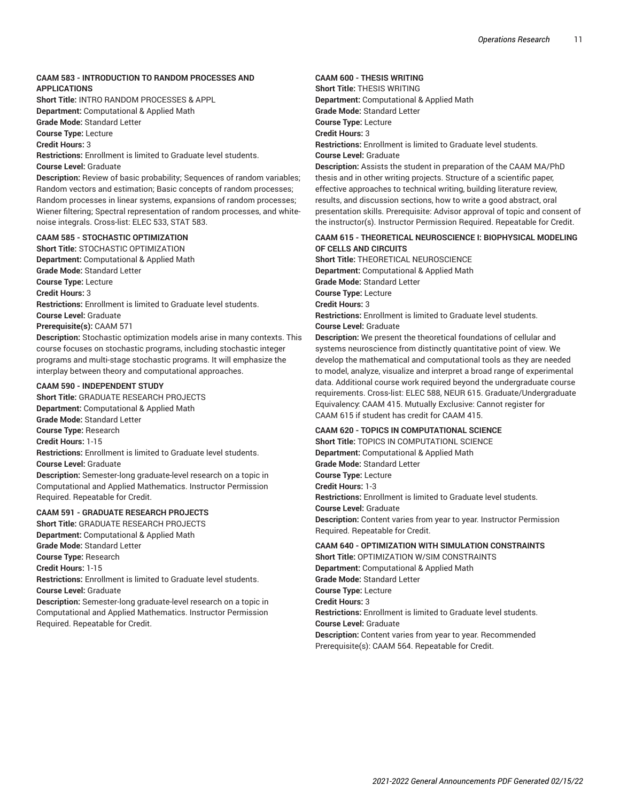#### **CAAM 583 - INTRODUCTION TO RANDOM PROCESSES AND APPLICATIONS**

**Short Title:** INTRO RANDOM PROCESSES & APPL **Department:** Computational & Applied Math

**Grade Mode:** Standard Letter

**Course Type:** Lecture

**Credit Hours:** 3

**Restrictions:** Enrollment is limited to Graduate level students. **Course Level:** Graduate

**Description:** Review of basic probability; Sequences of random variables; Random vectors and estimation; Basic concepts of random processes; Random processes in linear systems, expansions of random processes; Wiener filtering; Spectral representation of random processes, and whitenoise integrals. Cross-list: ELEC 533, STAT 583.

#### **CAAM 585 - STOCHASTIC OPTIMIZATION**

**Short Title:** STOCHASTIC OPTIMIZATION **Department:** Computational & Applied Math **Grade Mode:** Standard Letter **Course Type:** Lecture **Credit Hours:** 3 **Restrictions:** Enrollment is limited to Graduate level students. **Course Level:** Graduate **Prerequisite(s):** CAAM 571 **Description:** Stochastic optimization models arise in many contexts. This

course focuses on stochastic programs, including stochastic integer programs and multi-stage stochastic programs. It will emphasize the interplay between theory and computational approaches.

#### **CAAM 590 - INDEPENDENT STUDY**

**Short Title:** GRADUATE RESEARCH PROJECTS **Department:** Computational & Applied Math

**Grade Mode:** Standard Letter

**Course Type:** Research

**Credit Hours:** 1-15

**Restrictions:** Enrollment is limited to Graduate level students. **Course Level:** Graduate

**Description:** Semester-long graduate-level research on a topic in Computational and Applied Mathematics. Instructor Permission Required. Repeatable for Credit.

#### **CAAM 591 - GRADUATE RESEARCH PROJECTS**

**Short Title:** GRADUATE RESEARCH PROJECTS **Department:** Computational & Applied Math **Grade Mode:** Standard Letter **Course Type:** Research **Credit Hours:** 1-15 **Restrictions:** Enrollment is limited to Graduate level students. **Course Level:** Graduate **Description:** Semester-long graduate-level research on a topic in

Computational and Applied Mathematics. Instructor Permission Required. Repeatable for Credit.

#### **CAAM 600 - THESIS WRITING**

**Short Title:** THESIS WRITING **Department:** Computational & Applied Math **Grade Mode:** Standard Letter **Course Type:** Lecture **Credit Hours:** 3 **Restrictions:** Enrollment is limited to Graduate level students. **Course Level:** Graduate

**Description:** Assists the student in preparation of the CAAM MA/PhD thesis and in other writing projects. Structure of a scientific paper, effective approaches to technical writing, building literature review, results, and discussion sections, how to write a good abstract, oral presentation skills. Prerequisite: Advisor approval of topic and consent of the instructor(s). Instructor Permission Required. Repeatable for Credit.

#### **CAAM 615 - THEORETICAL NEUROSCIENCE I: BIOPHYSICAL MODELING OF CELLS AND CIRCUITS**

**Short Title:** THEORETICAL NEUROSCIENCE **Department:** Computational & Applied Math **Grade Mode:** Standard Letter **Course Type:** Lecture **Credit Hours:** 3 **Restrictions:** Enrollment is limited to Graduate level students. **Course Level:** Graduate

**Description:** We present the theoretical foundations of cellular and systems neuroscience from distinctly quantitative point of view. We develop the mathematical and computational tools as they are needed to model, analyze, visualize and interpret a broad range of experimental data. Additional course work required beyond the undergraduate course requirements. Cross-list: ELEC 588, NEUR 615. Graduate/Undergraduate Equivalency: CAAM 415. Mutually Exclusive: Cannot register for CAAM 615 if student has credit for CAAM 415.

#### **CAAM 620 - TOPICS IN COMPUTATIONAL SCIENCE**

**Short Title:** TOPICS IN COMPUTATIONL SCIENCE **Department:** Computational & Applied Math **Grade Mode:** Standard Letter **Course Type:** Lecture **Credit Hours:** 1-3 **Restrictions:** Enrollment is limited to Graduate level students. **Course Level:** Graduate **Description:** Content varies from year to year. Instructor Permission Required. Repeatable for Credit.

#### **CAAM 640 - OPTIMIZATION WITH SIMULATION CONSTRAINTS Short Title:** OPTIMIZATION W/SIM CONSTRAINTS

**Department:** Computational & Applied Math **Grade Mode:** Standard Letter **Course Type:** Lecture **Credit Hours:** 3 **Restrictions:** Enrollment is limited to Graduate level students. **Course Level:** Graduate **Description:** Content varies from year to year. Recommended Prerequisite(s): CAAM 564. Repeatable for Credit.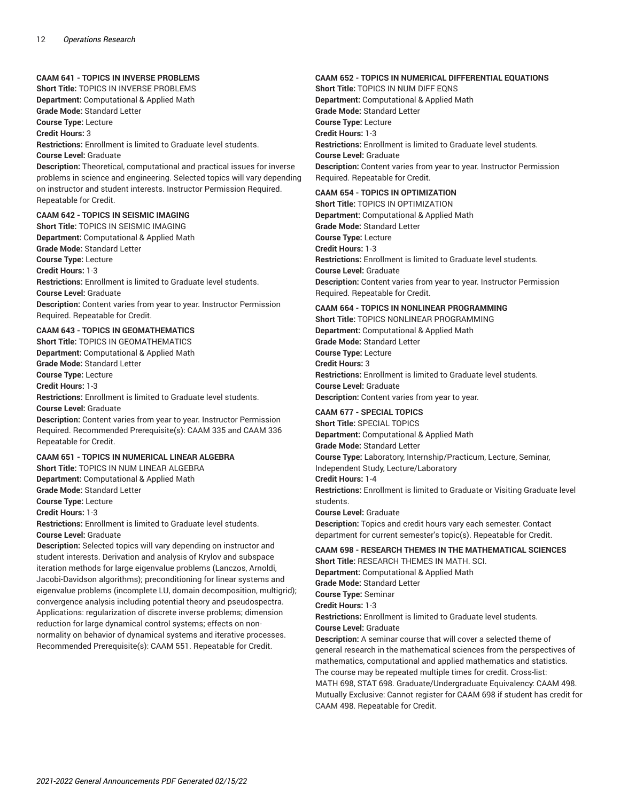#### **CAAM 641 - TOPICS IN INVERSE PROBLEMS**

**Short Title:** TOPICS IN INVERSE PROBLEMS **Department:** Computational & Applied Math **Grade Mode:** Standard Letter

**Course Type:** Lecture

**Credit Hours:** 3

**Restrictions:** Enrollment is limited to Graduate level students.

**Course Level:** Graduate

**Description:** Theoretical, computational and practical issues for inverse problems in science and engineering. Selected topics will vary depending on instructor and student interests. Instructor Permission Required. Repeatable for Credit.

#### **CAAM 642 - TOPICS IN SEISMIC IMAGING**

**Short Title:** TOPICS IN SEISMIC IMAGING **Department:** Computational & Applied Math **Grade Mode:** Standard Letter **Course Type:** Lecture **Credit Hours:** 1-3 **Restrictions:** Enrollment is limited to Graduate level students. **Course Level:** Graduate **Description:** Content varies from year to year. Instructor Permission Required. Repeatable for Credit.

#### **CAAM 643 - TOPICS IN GEOMATHEMATICS**

**Short Title:** TOPICS IN GEOMATHEMATICS **Department:** Computational & Applied Math

**Grade Mode:** Standard Letter

**Course Type:** Lecture **Credit Hours:** 1-3

**Restrictions:** Enrollment is limited to Graduate level students. **Course Level:** Graduate

**Description:** Content varies from year to year. Instructor Permission Required. Recommended Prerequisite(s): CAAM 335 and CAAM 336 Repeatable for Credit.

#### **CAAM 651 - TOPICS IN NUMERICAL LINEAR ALGEBRA**

**Short Title:** TOPICS IN NUM LINEAR ALGEBRA **Department:** Computational & Applied Math **Grade Mode:** Standard Letter

**Course Type:** Lecture

**Credit Hours:** 1-3

**Restrictions:** Enrollment is limited to Graduate level students.

**Course Level:** Graduate

**Description:** Selected topics will vary depending on instructor and student interests. Derivation and analysis of Krylov and subspace iteration methods for large eigenvalue problems (Lanczos, Arnoldi, Jacobi-Davidson algorithms); preconditioning for linear systems and eigenvalue problems (incomplete LU, domain decomposition, multigrid); convergence analysis including potential theory and pseudospectra. Applications: regularization of discrete inverse problems; dimension reduction for large dynamical control systems; effects on nonnormality on behavior of dynamical systems and iterative processes. Recommended Prerequisite(s): CAAM 551. Repeatable for Credit.

#### **CAAM 652 - TOPICS IN NUMERICAL DIFFERENTIAL EQUATIONS**

**Short Title:** TOPICS IN NUM DIFF EQNS **Department:** Computational & Applied Math **Grade Mode:** Standard Letter **Course Type:** Lecture **Credit Hours:** 1-3 **Restrictions:** Enrollment is limited to Graduate level students. **Course Level:** Graduate **Description:** Content varies from year to year. Instructor Permission Required. Repeatable for Credit.

#### **CAAM 654 - TOPICS IN OPTIMIZATION**

**Short Title:** TOPICS IN OPTIMIZATION **Department:** Computational & Applied Math **Grade Mode:** Standard Letter **Course Type:** Lecture **Credit Hours:** 1-3 **Restrictions:** Enrollment is limited to Graduate level students. **Course Level:** Graduate **Description:** Content varies from year to year. Instructor Permission Required. Repeatable for Credit.

#### **CAAM 664 - TOPICS IN NONLINEAR PROGRAMMING**

**Short Title:** TOPICS NONLINEAR PROGRAMMING **Department:** Computational & Applied Math **Grade Mode:** Standard Letter **Course Type:** Lecture **Credit Hours:** 3 **Restrictions:** Enrollment is limited to Graduate level students. **Course Level:** Graduate **Description:** Content varies from year to year.

#### **CAAM 677 - SPECIAL TOPICS**

**Short Title:** SPECIAL TOPICS **Department:** Computational & Applied Math **Grade Mode:** Standard Letter **Course Type:** Laboratory, Internship/Practicum, Lecture, Seminar, Independent Study, Lecture/Laboratory **Credit Hours:** 1-4 **Restrictions:** Enrollment is limited to Graduate or Visiting Graduate level students. **Course Level:** Graduate **Description:** Topics and credit hours vary each semester. Contact

department for current semester's topic(s). Repeatable for Credit.

#### **CAAM 698 - RESEARCH THEMES IN THE MATHEMATICAL SCIENCES Short Title:** RESEARCH THEMES IN MATH. SCI.

**Department:** Computational & Applied Math

**Grade Mode:** Standard Letter

**Course Type:** Seminar

**Credit Hours:** 1-3

**Restrictions:** Enrollment is limited to Graduate level students. **Course Level:** Graduate

**Description:** A seminar course that will cover a selected theme of general research in the mathematical sciences from the perspectives of mathematics, computational and applied mathematics and statistics. The course may be repeated multiple times for credit. Cross-list: MATH 698, STAT 698. Graduate/Undergraduate Equivalency: CAAM 498. Mutually Exclusive: Cannot register for CAAM 698 if student has credit for CAAM 498. Repeatable for Credit.